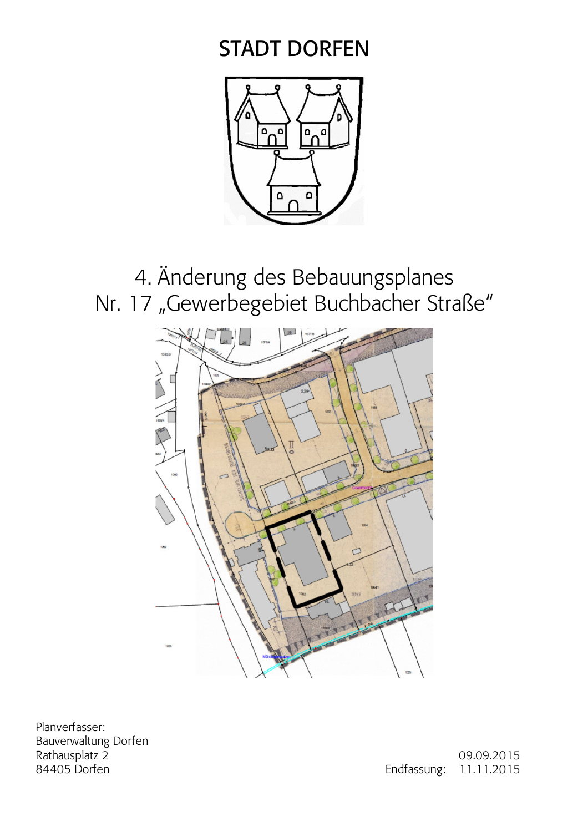# **STADT DORFEN**



4. Änderung des Bebauungsplanes Nr. 17 "Gewerbegebiet Buchbacher Straße"



Planverfasser: Bauverwaltung Dorfen Rathausplatz 2 84405 Dorfen

09.09.2015 Endfassung: 11.11.2015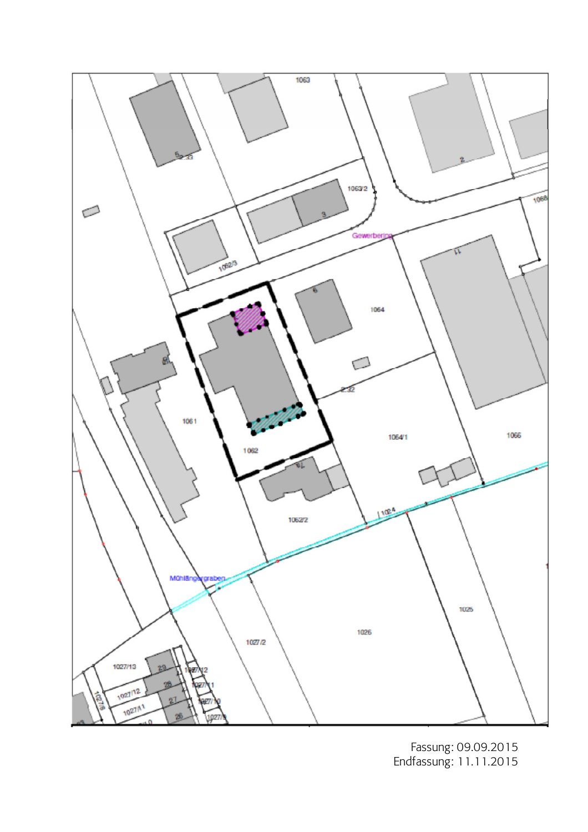

Fassung: 09.09.2015<br>Endfassung: 11.11.2015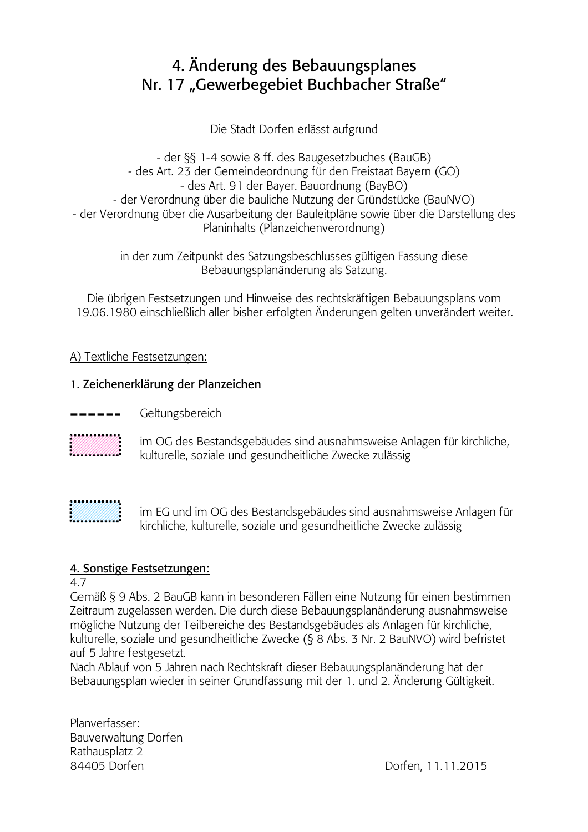# 4. Änderung des Bebauungsplanes Nr. 17 "Gewerbegebiet Buchbacher Straße"

Die Stadt Dorfen erlässt aufgrund

- der §§ 1-4 sowie 8 ff. des Baugesetzbuches (BauGB) - des Art. 23 der Gemeindeordnung für den Freistaat Bayern (GO) - des Art. 91 der Bayer. Bauordnung (BayBO) - der Verordnung über die bauliche Nutzung der Gründstücke (BauNVO) - der Verordnung über die Ausarbeitung der Bauleitpläne sowie über die Darstellung des Planinhalts (Planzeichenverordnung)

> in der zum Zeitpunkt des Satzungsbeschlusses gültigen Fassung diese Bebauungsplanänderung als Satzung.

Die übrigen Festsetzungen und Hinweise des rechtskräftigen Bebauungsplans vom 19.06.1980 einschließlich aller bisher erfolgten Änderungen gelten unverändert weiter.

# A) Textliche Festsetzungen:

# 1. Zeichenerklärung der Planzeichen

- Geltungsbereich
- 

im OG des Bestandsgebäudes sind ausnahmsweise Anlagen für kirchliche, kulturelle, soziale und gesundheitliche Zwecke zulässig

im EG und im OG des Bestandsgebäudes sind ausnahmsweise Anlagen für kirchliche, kulturelle, soziale und gesundheitliche Zwecke zulässig

# 4. Sonstige Festsetzungen:

47

Gemäß § 9 Abs. 2 BauGB kann in besonderen Fällen eine Nutzung für einen bestimmen Zeitraum zugelassen werden. Die durch diese Bebauungsplanänderung ausnahmsweise mögliche Nutzung der Teilbereiche des Bestandsgebäudes als Anlagen für kirchliche, kulturelle, soziale und gesundheitliche Zwecke (§ 8 Abs. 3 Nr. 2 BauNVO) wird befristet auf 5 Jahre festgesetzt.

Nach Ablauf von 5 Jahren nach Rechtskraft dieser Bebauungsplanänderung hat der Bebauungsplan wieder in seiner Grundfassung mit der 1. und 2. Änderung Gültigkeit.

Planverfasser: **Bauverwaltung Dorfen** Rathausplatz 2 84405 Dorfen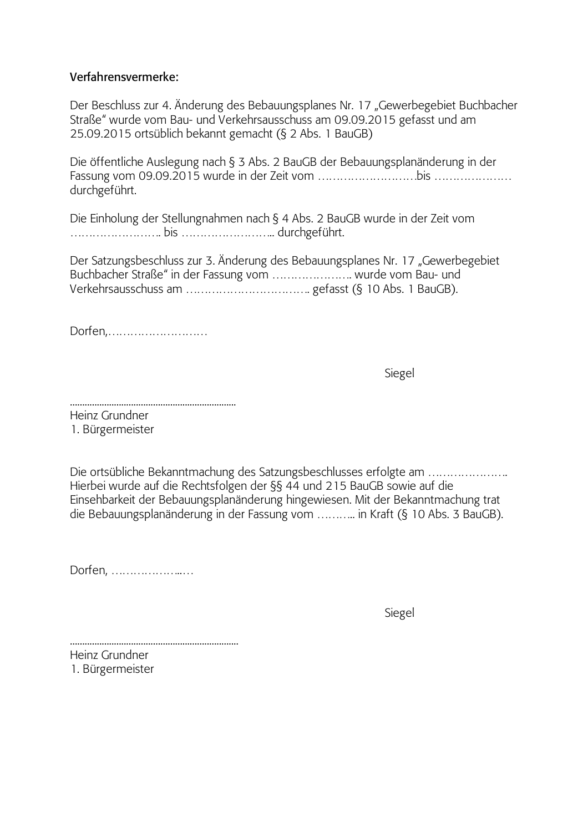#### $\blacksquare$ **Proposition**<br> **Verfahrensvermerke:**

Der Beschluss zur 4. Änderung des Bebauungsplanes Nr. 17 "Gewerbegebiet Buchbacher Straße" wurde vom Bau- und Verkehrsausschuss am 09.09.2015 gefasst und am  $25.09.2015$  ortsüblich bekannt gemacht (§ 2 Abs. 1 BauGB)

Die öffentliche Auslegung nach§3 Abs. 2 BauGB der Bebauungsplanänderung in der 3AF !"&'D&'D(&)A-F-4- !"5555555555555555 durchgeführt.

Die Einholung der Stellungnahmen nach § 4 Abs. 2 BauGB wurde in der Zeit vom 55555555D55555555DDA-\*+D

Der Satzungsbeschluss zur 3. Änderung des Bebauungsplanes Nr. 17 "Gewerbegebiet Buchbacher Straße" in der Fassung vom ......................... wurde vom Bau- und \$-%-AA"55555555555D-\*,-&.DA/D

!\*-F7555555555

 gel

DDDDDDDDDDDDDDDDDDDDDDDDDDDDDDDDDDDDDDDDDDDDDDDDDDDDDDDDDDDDDDDDDDDD

Heinz Grundner 1. Bürgermeister

Die ortsübliche Bekanntmachung des Satzungsbeschlusses erfolgte am …………………… Hierbei wurde auf die Rechtsfolgen der §§ 44 und 215 BauGB sowie auf die Einsehbarkeit der Bebauungsplanänderung hingewiesen. Mit der Bekanntmachung trat die Bebauungsplanänderung in der Fassung vom ………… in Kraft (§ 10 Abs. 3 BauGB).

Dorfen, .......................

 gel

DDDDDDDDDDDDDDDDDDDDDDDDDDDDDDDDDDDDDDDDDDDDDDDDDDDDDDDDDDDDDDDDDDDDD Heinz Grundner 1. Bürgermeister